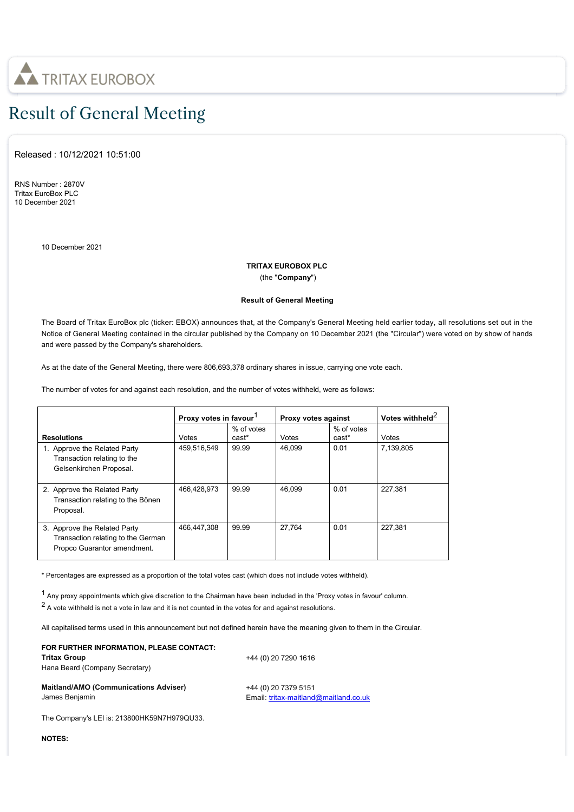

## Result of General Meeting

Released : 10/12/2021 10:51:00

RNS Number : 2870V Tritax EuroBox PLC 10 December 2021

10 December 2021

## **TRITAX EUROBOX PLC**

(the "**Company**")

## **Result of General Meeting**

The Board of Tritax EuroBox plc (ticker: EBOX) announces that, at the Company's General Meeting held earlier today, all resolutions set out in the Notice of General Meeting contained in the circular published by the Company on 10 December 2021 (the "Circular") were voted on by show of hands and were passed by the Company's shareholders.

As at the date of the General Meeting, there were 806,693,378 ordinary shares in issue, carrying one vote each.

The number of votes for and against each resolution, and the number of votes withheld, were as follows:

|                                                                                                   | Proxy votes in favour |                     | Proxy votes against |                     | Votes withheld <sup>2</sup> |
|---------------------------------------------------------------------------------------------------|-----------------------|---------------------|---------------------|---------------------|-----------------------------|
| <b>Resolutions</b>                                                                                | Votes                 | % of votes<br>cast* | Votes               | % of votes<br>cast* | Votes                       |
| 1. Approve the Related Party<br>Transaction relating to the<br>Gelsenkirchen Proposal.            | 459,516,549           | 99.99               | 46.099              | 0.01                | 7.139.805                   |
| 2. Approve the Related Party<br>Transaction relating to the Bönen<br>Proposal.                    | 466,428,973           | 99.99               | 46.099              | 0.01                | 227,381                     |
| 3. Approve the Related Party<br>Transaction relating to the German<br>Propco Guarantor amendment. | 466,447,308           | 99.99               | 27.764              | 0.01                | 227,381                     |

\* Percentages are expressed as a proportion of the total votes cast (which does not include votes withheld).

1 Any proxy appointments which give discretion to the Chairman have been included in the 'Proxy votes in favour' column.

 $2$  A vote withheld is not a vote in law and it is not counted in the votes for and against resolutions.

All capitalised terms used in this announcement but not defined herein have the meaning given to them in the Circular.

## **FOR FURTHER INFORMATION, PLEASE CONTACT: Tritax Group** Hana Beard (Company Secretary)

+44 (0) 20 7290 1616

| <b>Maitland/AMO (Communications Adviser)</b> |  |
|----------------------------------------------|--|
| James Benjamin                               |  |

+44 (0) 20 7379 5151 Email: [tritax-maitland@maitland.co.uk](mailto:tritax-maitland@maitland.co.uk)

The Company's LEI is: 213800HK59N7H979QU33.

**NOTES:**